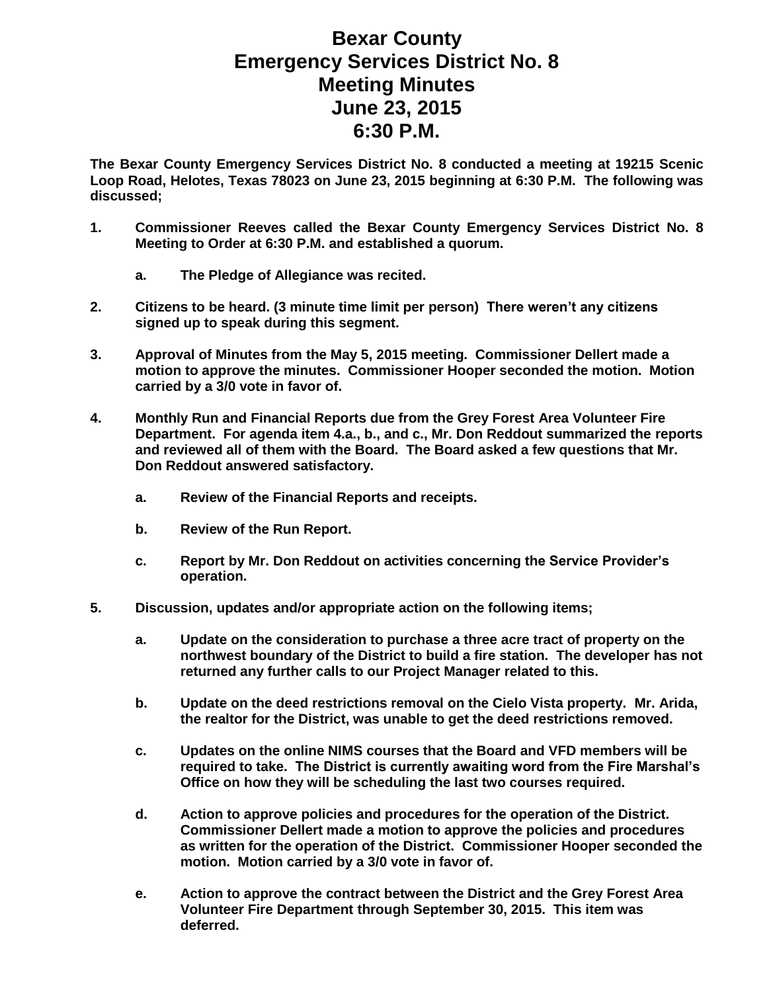## **Bexar County Emergency Services District No. 8 Meeting Minutes June 23, 2015 6:30 P.M.**

**The Bexar County Emergency Services District No. 8 conducted a meeting at 19215 Scenic Loop Road, Helotes, Texas 78023 on June 23, 2015 beginning at 6:30 P.M. The following was discussed;**

- **1. Commissioner Reeves called the Bexar County Emergency Services District No. 8 Meeting to Order at 6:30 P.M. and established a quorum.** 
	- **a. The Pledge of Allegiance was recited.**
- **2. Citizens to be heard. (3 minute time limit per person) There weren't any citizens signed up to speak during this segment.**
- **3. Approval of Minutes from the May 5, 2015 meeting. Commissioner Dellert made a motion to approve the minutes. Commissioner Hooper seconded the motion. Motion carried by a 3/0 vote in favor of.**
- **4. Monthly Run and Financial Reports due from the Grey Forest Area Volunteer Fire Department. For agenda item 4.a., b., and c., Mr. Don Reddout summarized the reports and reviewed all of them with the Board. The Board asked a few questions that Mr. Don Reddout answered satisfactory.**
	- **a. Review of the Financial Reports and receipts.**
	- **b. Review of the Run Report.**
	- **c. Report by Mr. Don Reddout on activities concerning the Service Provider's operation.**
- **5. Discussion, updates and/or appropriate action on the following items;**
	- **a. Update on the consideration to purchase a three acre tract of property on the northwest boundary of the District to build a fire station. The developer has not returned any further calls to our Project Manager related to this.**
	- **b. Update on the deed restrictions removal on the Cielo Vista property. Mr. Arida, the realtor for the District, was unable to get the deed restrictions removed.**
	- **c. Updates on the online NIMS courses that the Board and VFD members will be required to take. The District is currently awaiting word from the Fire Marshal's Office on how they will be scheduling the last two courses required.**
	- **d. Action to approve policies and procedures for the operation of the District. Commissioner Dellert made a motion to approve the policies and procedures as written for the operation of the District. Commissioner Hooper seconded the motion. Motion carried by a 3/0 vote in favor of.**
	- **e. Action to approve the contract between the District and the Grey Forest Area Volunteer Fire Department through September 30, 2015. This item was deferred.**